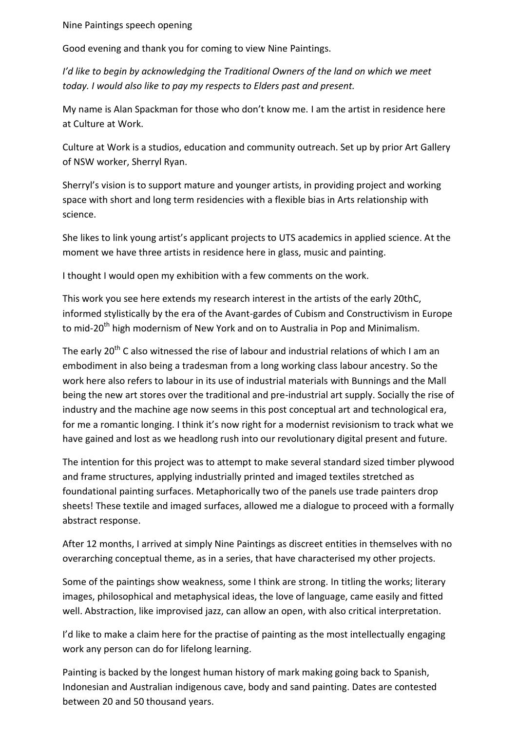Nine Paintings speech opening

Good evening and thank you for coming to view Nine Paintings.

*I'd like to begin by acknowledging the Traditional Owners of the land on which we meet today. I would also like to pay my respects to Elders past and present.* 

My name is Alan Spackman for those who don't know me. I am the artist in residence here at Culture at Work.

Culture at Work is a studios, education and community outreach. Set up by prior Art Gallery of NSW worker, Sherryl Ryan.

Sherryl's vision is to support mature and younger artists, in providing project and working space with short and long term residencies with a flexible bias in Arts relationship with science.

She likes to link young artist's applicant projects to UTS academics in applied science. At the moment we have three artists in residence here in glass, music and painting.

I thought I would open my exhibition with a few comments on the work.

This work you see here extends my research interest in the artists of the early 20thC, informed stylistically by the era of the Avant-gardes of Cubism and Constructivism in Europe to mid-20<sup>th</sup> high modernism of New York and on to Australia in Pop and Minimalism.

The early 20<sup>th</sup> C also witnessed the rise of labour and industrial relations of which I am an embodiment in also being a tradesman from a long working class labour ancestry. So the work here also refers to labour in its use of industrial materials with Bunnings and the Mall being the new art stores over the traditional and pre-industrial art supply. Socially the rise of industry and the machine age now seems in this post conceptual art and technological era, for me a romantic longing. I think it's now right for a modernist revisionism to track what we have gained and lost as we headlong rush into our revolutionary digital present and future.

The intention for this project was to attempt to make several standard sized timber plywood and frame structures, applying industrially printed and imaged textiles stretched as foundational painting surfaces. Metaphorically two of the panels use trade painters drop sheets! These textile and imaged surfaces, allowed me a dialogue to proceed with a formally abstract response.

After 12 months, I arrived at simply Nine Paintings as discreet entities in themselves with no overarching conceptual theme, as in a series, that have characterised my other projects.

Some of the paintings show weakness, some I think are strong. In titling the works; literary images, philosophical and metaphysical ideas, the love of language, came easily and fitted well. Abstraction, like improvised jazz, can allow an open, with also critical interpretation.

I'd like to make a claim here for the practise of painting as the most intellectually engaging work any person can do for lifelong learning.

Painting is backed by the longest human history of mark making going back to Spanish, Indonesian and Australian indigenous cave, body and sand painting. Dates are contested between 20 and 50 thousand years.